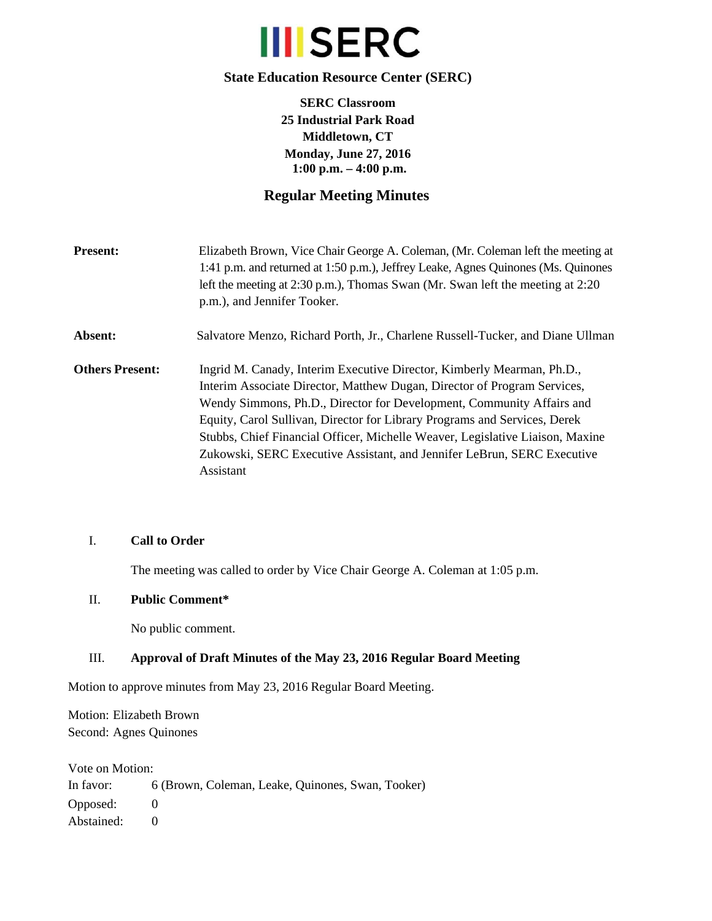

## **State Education Resource Center (SERC)**

**SERC Classroom 25 Industrial Park Road Middletown, CT Monday, June 27, 2016 1:00 p.m. – 4:00 p.m.** 

# **Regular Meeting Minutes**

| <b>Present:</b>        | Elizabeth Brown, Vice Chair George A. Coleman, (Mr. Coleman left the meeting at<br>1:41 p.m. and returned at 1:50 p.m.), Jeffrey Leake, Agnes Quinones (Ms. Quinones<br>left the meeting at 2:30 p.m.), Thomas Swan (Mr. Swan left the meeting at 2:20<br>p.m.), and Jennifer Tooker.                                                                                                                                                                                             |
|------------------------|-----------------------------------------------------------------------------------------------------------------------------------------------------------------------------------------------------------------------------------------------------------------------------------------------------------------------------------------------------------------------------------------------------------------------------------------------------------------------------------|
| Absent:                | Salvatore Menzo, Richard Porth, Jr., Charlene Russell-Tucker, and Diane Ullman                                                                                                                                                                                                                                                                                                                                                                                                    |
| <b>Others Present:</b> | Ingrid M. Canady, Interim Executive Director, Kimberly Mearman, Ph.D.,<br>Interim Associate Director, Matthew Dugan, Director of Program Services,<br>Wendy Simmons, Ph.D., Director for Development, Community Affairs and<br>Equity, Carol Sullivan, Director for Library Programs and Services, Derek<br>Stubbs, Chief Financial Officer, Michelle Weaver, Legislative Liaison, Maxine<br>Zukowski, SERC Executive Assistant, and Jennifer LeBrun, SERC Executive<br>Assistant |

## I. **Call to Order**

The meeting was called to order by Vice Chair George A. Coleman at 1:05 p.m.

#### II. **Public Comment\***

No public comment.

## III. **Approval of Draft Minutes of the May 23, 2016 Regular Board Meeting**

Motion to approve minutes from May 23, 2016 Regular Board Meeting.

Motion: Elizabeth Brown Second: Agnes Quinones

Vote on Motion: In favor: 6 (Brown, Coleman, Leake, Quinones, Swan, Tooker) Opposed: 0 Abstained: 0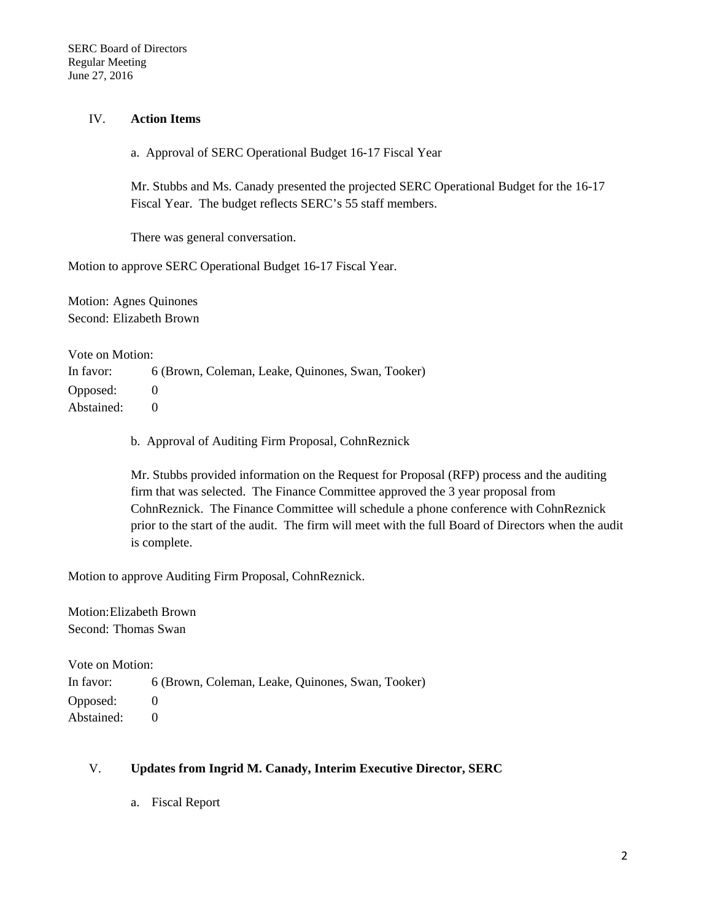#### IV. **Action Items**

a. Approval of SERC Operational Budget 16-17 Fiscal Year

Mr. Stubbs and Ms. Canady presented the projected SERC Operational Budget for the 16-17 Fiscal Year. The budget reflects SERC's 55 staff members.

There was general conversation.

Motion to approve SERC Operational Budget 16-17 Fiscal Year.

Motion: Agnes Quinones Second: Elizabeth Brown

Vote on Motion:

In favor: 6 (Brown, Coleman, Leake, Quinones, Swan, Tooker) Opposed: 0

Abstained: 0

b. Approval of Auditing Firm Proposal, CohnReznick

Mr. Stubbs provided information on the Request for Proposal (RFP) process and the auditing firm that was selected. The Finance Committee approved the 3 year proposal from CohnReznick. The Finance Committee will schedule a phone conference with CohnReznick prior to the start of the audit. The firm will meet with the full Board of Directors when the audit is complete.

Motion to approve Auditing Firm Proposal, CohnReznick.

Motion: Elizabeth Brown Second: Thomas Swan

Vote on Motion: In favor: 6 (Brown, Coleman, Leake, Quinones, Swan, Tooker) Opposed: 0 Abstained: 0

#### V. **Updates from Ingrid M. Canady, Interim Executive Director, SERC**

a. Fiscal Report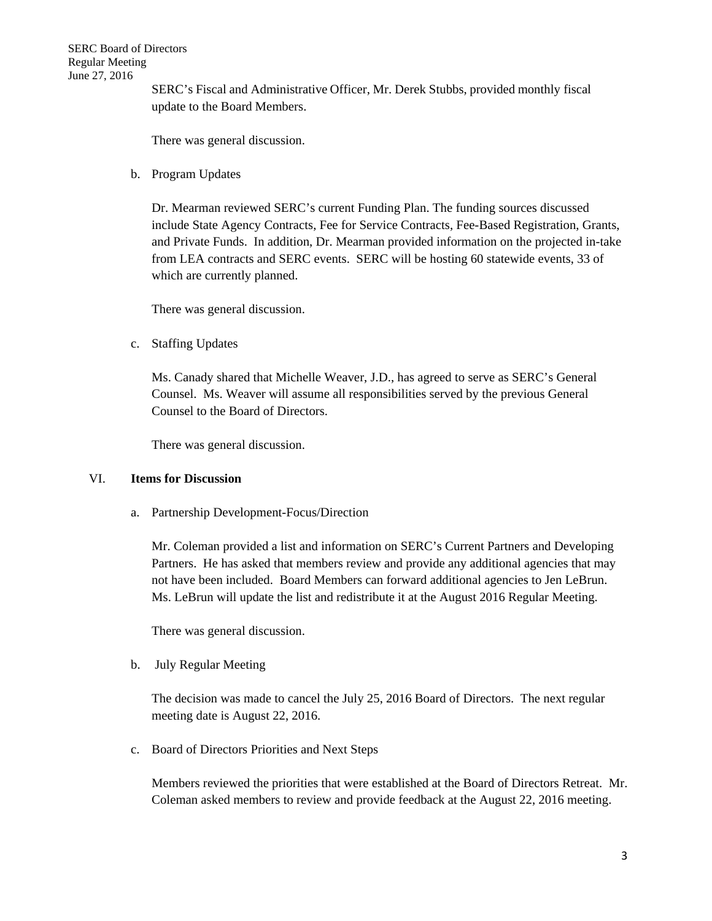SERC's Fiscal and Administrative Officer, Mr. Derek Stubbs, provided monthly fiscal update to the Board Members.

There was general discussion.

b. Program Updates

Dr. Mearman reviewed SERC's current Funding Plan. The funding sources discussed include State Agency Contracts, Fee for Service Contracts, Fee-Based Registration, Grants, and Private Funds. In addition, Dr. Mearman provided information on the projected in-take from LEA contracts and SERC events. SERC will be hosting 60 statewide events, 33 of which are currently planned.

There was general discussion.

c. Staffing Updates

Ms. Canady shared that Michelle Weaver, J.D., has agreed to serve as SERC's General Counsel. Ms. Weaver will assume all responsibilities served by the previous General Counsel to the Board of Directors.

There was general discussion.

#### VI. **Items for Discussion**

a. Partnership Development-Focus/Direction

Mr. Coleman provided a list and information on SERC's Current Partners and Developing Partners. He has asked that members review and provide any additional agencies that may not have been included. Board Members can forward additional agencies to Jen LeBrun. Ms. LeBrun will update the list and redistribute it at the August 2016 Regular Meeting.

There was general discussion.

b. July Regular Meeting

The decision was made to cancel the July 25, 2016 Board of Directors. The next regular meeting date is August 22, 2016.

c. Board of Directors Priorities and Next Steps

Members reviewed the priorities that were established at the Board of Directors Retreat. Mr. Coleman asked members to review and provide feedback at the August 22, 2016 meeting.